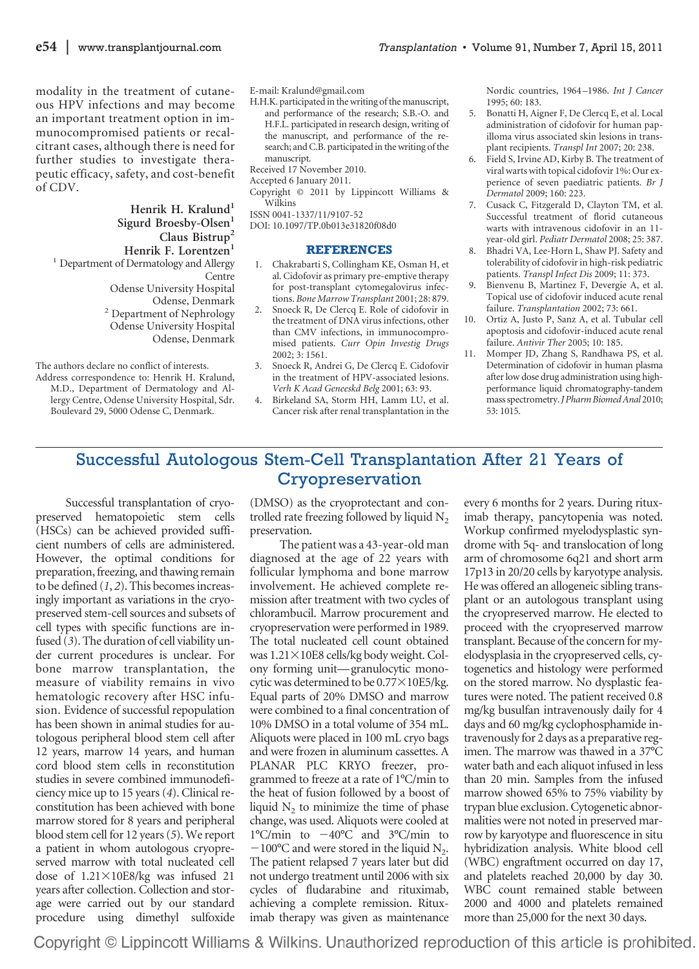modality in the treatment of cutaneous HPV infections and may become an important treatment option in immunocompromised patients or recalcitrant cases, although there is need for further studies to investigate therapeutic efficacy, safety, and cost-benefit of CDV.

Henrik H. Kralund<sup>1</sup> Sigurd Broesby-Olsen<sup>1</sup> **Claus Bistrup2** Henrik F. Lorentzen<sup>1</sup> <sup>1</sup> Department of Dermatology and Allergy Centre Odense University Hospital Odense, Denmark <sup>2</sup> Department of Nephrology Odense University Hospital Odense, Denmark

The authors declare no conflict of interests.

Address correspondence to: Henrik H. Kralund, M.D., Department of Dermatology and Allergy Centre, Odense University Hospital, Sdr. Boulevard 29, 5000 Odense C, Denmark.

E-mail: Kralund@gmail.com

H.H.K. participated in the writing of the manuscript, and performance of the research; S.B.-O. and H.F.L. participated in research design, writing of the manuscript, and performance of the research; and C.B. participated in the writing of the manuscript.

Received 17 November 2010.

Accepted 6 January 2011.

Copyright © 2011 by Lippincott Williams & Wilkins

ISSN 0041-1337/11/9107-52

DOI: 10.1097/TP.0b013e31820f08d0

## **REFERENCES**

- 1. Chakrabarti S, Collingham KE, Osman H, et al. Cidofovir as primary pre-emptive therapy for post-transplant cytomegalovirus infections. *Bone Marrow Transplant* 2001; 28: 879.
- 2. Snoeck R, De Clercq E. Role of cidofovir in the treatment of DNA virus infections, other than CMV infections, in immunocompromised patients. *Curr Opin Investig Drugs* 2002; 3: 1561.
- 3. Snoeck R, Andrei G, De Clercq E. Cidofovir in the treatment of HPV-associated lesions. *Verh K Acad Geneeskd Belg* 2001; 63: 93.
- 4. Birkeland SA, Storm HH, Lamm LU, et al. Cancer risk after renal transplantation in the

Nordic countries, 1964 –1986. *Int J Cancer* 1995; 60: 183.

- 5. Bonatti H, Aigner F, De Clercq E, et al. Local administration of cidofovir for human papilloma virus associated skin lesions in transplant recipients. *Transpl Int* 2007; 20: 238.
- 6. Field S, Irvine AD, Kirby B. The treatment of viral warts with topical cidofovir 1%: Our experience of seven paediatric patients. *Br J Dermatol* 2009; 160: 223.
- 7. Cusack C, Fitzgerald D, Clayton TM, et al. Successful treatment of florid cutaneous warts with intravenous cidofovir in an 11 year-old girl. *Pediatr Dermatol* 2008; 25: 387.
- 8. Bhadri VA, Lee-Horn L, Shaw PJ. Safety and tolerability of cidofovir in high-risk pediatric patients. *Transpl Infect Dis* 2009; 11: 373.
- 9. Bienvenu B, Martinez F, Devergie A, et al. Topical use of cidofovir induced acute renal failure. *Transplantation* 2002; 73: 661.
- 10. Ortiz A, Justo P, Sanz A, et al. Tubular cell apoptosis and cidofovir-induced acute renal failure. *Antivir Ther* 2005; 10: 185.
- 11. Momper JD, Zhang S, Randhawa PS, et al. Determination of cidofovir in human plasma after low dose drug administration using highperformance liquid chromatography-tandem mass spectrometry.*J Pharm Biomed Anal* 2010; 53: 1015.

## Successful Autologous Stem-Cell Transplantation After 21 Years of Cryopreservation

Successful transplantation of cryopreserved hematopoietic stem cells (HSCs) can be achieved provided sufficient numbers of cells are administered. However, the optimal conditions for preparation, freezing, and thawing remain to be defined (*1*, *2*). This becomes increasingly important as variations in the cryopreserved stem-cell sources and subsets of cell types with specific functions are infused (*3*). The duration of cell viability under current procedures is unclear. For bone marrow transplantation, the measure of viability remains in vivo hematologic recovery after HSC infusion. Evidence of successful repopulation has been shown in animal studies for autologous peripheral blood stem cell after 12 years, marrow 14 years, and human cord blood stem cells in reconstitution studies in severe combined immunodeficiency mice up to 15 years (*4*). Clinical reconstitution has been achieved with bone marrow stored for 8 years and peripheral blood stem cell for 12 years (*5*). We report a patient in whom autologous cryopreserved marrow with total nucleated cell dose of  $1.21 \times 10E8/kg$  was infused 21 years after collection. Collection and storage were carried out by our standard procedure using dimethyl sulfoxide

(DMSO) as the cryoprotectant and controlled rate freezing followed by liquid  $N_2$ preservation.

The patient was a 43-year-old man diagnosed at the age of 22 years with follicular lymphoma and bone marrow involvement. He achieved complete remission after treatment with two cycles of chlorambucil. Marrow procurement and cryopreservation were performed in 1989. The total nucleated cell count obtained was  $1.21\times10E8$  cells/kg body weight. Colony forming unit—granulocytic monocytic was determined to be  $0.77 \times 10E5/kg$ . Equal parts of 20% DMSO and marrow were combined to a final concentration of 10% DMSO in a total volume of 354 mL. Aliquots were placed in 100 mL cryo bags and were frozen in aluminum cassettes. A PLANAR PLC KRYO freezer, programmed to freeze at a rate of 1°C/min to the heat of fusion followed by a boost of liquid  $N_2$  to minimize the time of phase change, was used. Aliquots were cooled at  $1^{\circ}$ C/min to  $-40^{\circ}$ C and  $3^{\circ}$ C/min to  $-100^{\circ}$ C and were stored in the liquid N<sub>2</sub>. The patient relapsed 7 years later but did not undergo treatment until 2006 with six cycles of fludarabine and rituximab, achieving a complete remission. Rituximab therapy was given as maintenance

every 6 months for 2 years. During rituximab therapy, pancytopenia was noted. Workup confirmed myelodysplastic syndrome with 5q- and translocation of long arm of chromosome 6q21 and short arm 17p13 in 20/20 cells by karyotype analysis. He was offered an allogeneic sibling transplant or an autologous transplant using the cryopreserved marrow. He elected to proceed with the cryopreserved marrow transplant. Because of the concern for myelodysplasia in the cryopreserved cells, cytogenetics and histology were performed on the stored marrow. No dysplastic features were noted. The patient received 0.8 mg/kg busulfan intravenously daily for 4 days and 60 mg/kg cyclophosphamide intravenously for 2 days as a preparative regimen. The marrow was thawed in a 37°C water bath and each aliquot infused in less than 20 min. Samples from the infused marrow showed 65% to 75% viability by trypan blue exclusion. Cytogenetic abnormalities were not noted in preserved marrow by karyotype and fluorescence in situ hybridization analysis. White blood cell (WBC) engraftment occurred on day 17, and platelets reached 20,000 by day 30. WBC count remained stable between 2000 and 4000 and platelets remained more than 25,000 for the next 30 days.

Copyright © Lippincott Williams & Wilkins. Unauthorized reproduction of this article is prohibited.